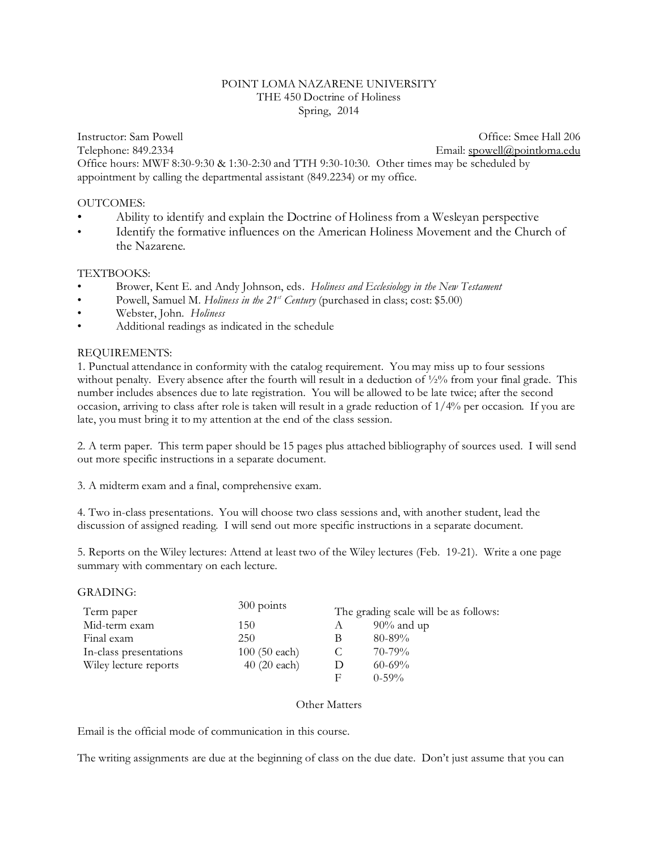## POINT LOMA NAZARENE UNIVERSITY THE 450 Doctrine of Holiness Spring, 2014

Instructor: Sam Powell **Contract Contract Contract Contract Contract Contract Contract Contract Contract Contract Contract Contract Contract Contract Contract Contract Contract Contract Contract Contract Contract Contract** Telephone: 849.2334 Email: [spowell@pointloma.edu](mailto:spowell@ptloma.edu) Office hours: MWF 8:30-9:30 & 1:30-2:30 and TTH 9:30-10:30. Other times may be scheduled by appointment by calling the departmental assistant (849.2234) or my office.

### OUTCOMES:

- Ability to identify and explain the Doctrine of Holiness from a Wesleyan perspective
- Identify the formative influences on the American Holiness Movement and the Church of the Nazarene.

# TEXTBOOKS:

- Brower, Kent E. and Andy Johnson, eds. *Holiness and Ecclesiology in the New Testament*
- Powell, Samuel M. *Holiness in the 21st Century* (purchased in class; cost: \$5.00)
- Webster, John. *Holiness*
- Additional readings as indicated in the schedule

# REQUIREMENTS:

1. Punctual attendance in conformity with the catalog requirement. You may miss up to four sessions without penalty. Every absence after the fourth will result in a deduction of  $\frac{1}{2}\%$  from your final grade. This number includes absences due to late registration. You will be allowed to be late twice; after the second occasion, arriving to class after role is taken will result in a grade reduction of 1/4% per occasion. If you are late, you must bring it to my attention at the end of the class session.

2. A term paper. This term paper should be 15 pages plus attached bibliography of sources used. I will send out more specific instructions in a separate document.

3. A midterm exam and a final, comprehensive exam.

4. Two in-class presentations. You will choose two class sessions and, with another student, lead the discussion of assigned reading. I will send out more specific instructions in a separate document.

5. Reports on the Wiley lectures: Attend at least two of the Wiley lectures (Feb. 19-21). Write a one page summary with commentary on each lecture.

### GRADING:

| 300 points             |   | The grading scale will be as follows: |
|------------------------|---|---------------------------------------|
| 150                    | A | $90\%$ and up                         |
| 250                    | B | $80 - 89\%$                           |
| $100(50 \text{ each})$ |   | $70 - 79\%$                           |
| $40(20 \text{ each})$  |   | $60 - 69\%$                           |
|                        | F | $0-59\%$                              |
|                        |   |                                       |

#### Other Matters

Email is the official mode of communication in this course.

The writing assignments are due at the beginning of class on the due date. Don't just assume that you can